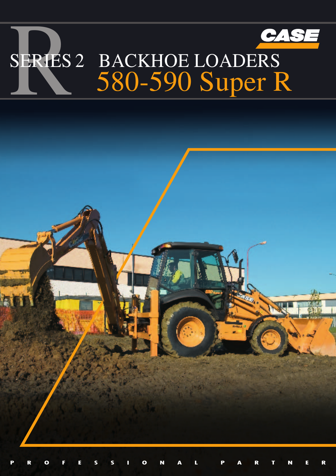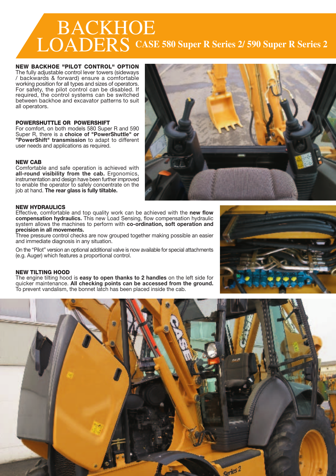# BACKHOE LOADERS **CASE 580 Super R Series 2/ 590 Super R Series 2**

#### **NEW BACKHOE "PILOT CONTROL" OPTION**

The fully adjustable control lever towers (sideways / backwards & forward) ensure a comfortable working position for all types and sizes of operators. For safety, the pilot control can be disabled. If required, the control systems can be switched between backhoe and excavator patterns to suit all operators.

#### **POWERSHUTTLE OR POWERSHIFT**

For comfort, on both models 580 Super R and 590 Super R, there is a **choice of "PowerShuttle" or "PowerShift" transmission** to adapt to different user needs and applications as required.

#### **NEW CAB**

Comfortable and safe operation is achieved with **all-round visibility from the cab.** Ergonomics, instrumentation and design have been further improved to enable the operator to safely concentrate on the job at hand. **The rear glass is fully tiltable.**



### **NEW HYDRAULICS**

Effective, comfortable and top quality work can be achieved with the **new flow compensation hydraulics.** This new Load Sensing, flow compensation hydraulic system allows the machines to perform with **co-ordination, soft operation and precision in all movements.**

Three pressure control checks are now grouped together making possible an easier and immediate diagnosis in any situation.

On the "Pilot" version an optional additional valve is now available for special attachments (e.g. Auger) which features a proportional control.

## **NEW TILTING HOOD**

The engine tilting hood is **easy to open thanks to 2 handles** on the left side for quicker maintenance. **All checking points can be accessed from the ground.** To prevent vandalism, the bonnet latch has been placed inside the cab.



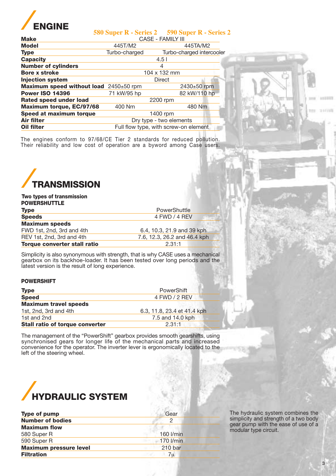

| <b>Make</b>                            | <b>CASE - FAMILY III</b>              |                           |  |
|----------------------------------------|---------------------------------------|---------------------------|--|
| <b>Model</b>                           | 445T/M2                               | 445TA/M2                  |  |
| <b>Type</b>                            | Turbo-charged                         | Turbo-charged intercooler |  |
| <b>Capacity</b>                        |                                       | 4.5 <sub>1</sub>          |  |
| <b>Number of cylinders</b>             |                                       | 4                         |  |
| <b>Bore x stroke</b>                   | 104 x 132 mm                          |                           |  |
| <b>Injection system</b>                | <b>Direct</b>                         |                           |  |
| Maximum speed without load 2450±50 rpm |                                       | 2430±50 rpm               |  |
| <b>Power ISO 14396</b>                 | 71 kW/95 hp                           | 82 kW/110 hp              |  |
| <b>Rated speed under load</b>          | 2200 rpm                              |                           |  |
| <b>Maximum torque, EC/97/68</b>        | 400 Nm                                | 480 Nm                    |  |
| Speed at maximum torque                | 1400 rpm                              |                           |  |
| Air filter                             | Dry type - two elements               |                           |  |
| Oil filter                             | Full flow type, with screw-on element |                           |  |
|                                        |                                       |                           |  |

**580 Super R - Series 2 590 Super R - Series 2**

The engines conform to 97/68/CE Tier 2 standards for reduced pollution. Their reliability and low cost of operation are a byword among Case users.



## **Type** PowerShuttle **Speeds** 4 FWD / 4 REV **Maximum speeds** FWD 1st, 2nd, 3rd and 4th 6.4, 10.3, 21.9 and 39 kph REV 1st, 2nd, 3rd and 4th 7.6, 12.3, 26.2 and 46.4 kph<br> **Torque converter stall ratio** 2.31:1 **Torque converter stall ratio Two types of transmission POWERSHUTTLE**

Simplicity is also synonymous with strength, that is why CASE uses a mechanical gearbox on its backhoe-loader. It has been tested over long periods and the latest version is the result of long experience.

### **POWERSHIFT**

| <b>Type</b>                            | <b>PowerShift</b>           |  |
|----------------------------------------|-----------------------------|--|
| <b>Speed</b>                           | 4 FWD / 2 REV               |  |
| <b>Maximum travel speeds</b>           |                             |  |
| 1st, 2nd, 3rd and 4th                  | 6.3, 11.8, 23.4 et 41.4 kph |  |
| 1st and 2nd                            | 7.5 and 14.0 kph            |  |
| <b>Stall ratio of torque converter</b> | 2.31:1                      |  |

The management of the "PowerShift" gearbox provides smooth gearshifts, using synchronised gears for longer life of the mechanical parts and increased convenience for the operator. The inverter lever is ergonomically located to the left of the steering wheel.



| <b>Type of pump</b>           | Gear      |  |
|-------------------------------|-----------|--|
| <b>Number of bodies</b>       | 2         |  |
| <b>Maximum flow</b>           |           |  |
| 580 Super R                   | 160 l/min |  |
| 590 Super R                   | 170 l/min |  |
| <b>Maximum pressure level</b> | 210 bar   |  |
| <b>Filtration</b>             | 7u        |  |
|                               |           |  |

The hydraulic system combines the simplicity and strength of a two body gear pump with the ease of use of a modular type circuit.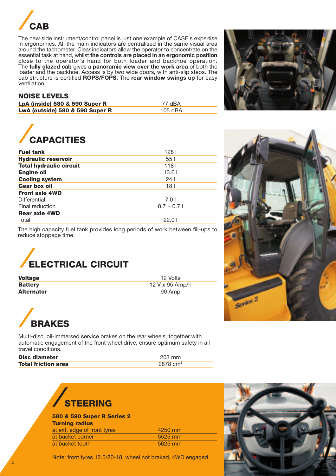

The new side instrument/control panel is just one example of CASE's expertise in ergonomics. All the main indicators are centralised in the same visual area around the tachometer. Clear indicators allow the operator to concentrate on the essential task at hand, whilst **the controls are placed in an ergonomic position** close to the operator's hand for both loader and backhoe operation. The **fully glazed cab** gives a **panoramic view over the work area** of both the loader and the backhoe. Access is by two wide doors, with anti-slip steps. The cab structure is certified **ROPS/FOPS**. The **rear window swings up** for easy ventilation.

# **NOISE LEVELS**

| LpA (inside) 580 & 590 Super R  | 77 dBA  |
|---------------------------------|---------|
| LwA (outside) 580 & 590 Super R | 105 dBA |



| <b>Fuel tank</b>               | 1281        |
|--------------------------------|-------------|
| <b>Hydraulic reservoir</b>     | 551         |
| <b>Total hydraulic circuit</b> | 118 I       |
| <b>Engine oil</b>              | 13.61       |
| <b>Cooling system</b>          | 24 I        |
| <b>Gear box oil</b>            | 18 I        |
| <b>Front axle 4WD</b>          |             |
| Differential                   | 7.0 L       |
| Final reduction                | $0.7 + 0.7$ |
| <b>Rear axle 4WD</b>           |             |
| Total                          | 22.0 l      |

The high capacity fuel tank provides long periods of work between fill-ups to reduce stoppage time.



| <b>Voltage</b>    | 12 Volts          |
|-------------------|-------------------|
| <b>Battery</b>    | $12$ V x 95 Amp/h |
| <b>Alternator</b> | 90 Amp            |



Multi-disc, oil-immersed service brakes on the rear wheels, together with automatic engagement of the front wheel drive, ensure optimum safety in all travel conditions.

| <b>Disc diameter</b>       | 203 mm     |
|----------------------------|------------|
| <b>Total friction area</b> | 2878 $cm2$ |

| <b>STEERING</b> |  |
|-----------------|--|

| <b>580 &amp; 590 Super R Series 2</b><br><b>Turning radius</b> |         |
|----------------------------------------------------------------|---------|
| at ext. edge of front tyres                                    | 4250 mm |
| at bucket corner                                               | 5525 mm |
| at bucket tooth                                                | 5625 mm |







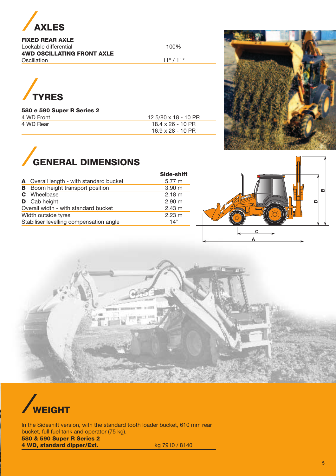

# **FIXED REAR AXLE**

Lockable differential 100% **4WD OSCILLATING FRONT AXLE** Oscillation 11° / 11°



#### **580 e 590 Super R Series 2** 4 WD Front 4 WD Rear

| $12.5/80 \times 18 - 10$ PR |  |
|-----------------------------|--|
| $18.4 \times 26 - 10$ PR    |  |
| $16.9 \times 28 - 10$ PR    |  |





|   |                                         | <b>Side-shift</b> |
|---|-----------------------------------------|-------------------|
|   | A Overall length - with standard bucket | 5.77 m            |
| в | Boom height transport position          | 3.90 <sub>m</sub> |
|   | <b>C</b> Wheelbase                      | 2.18 m            |
|   | <b>D</b> Cab height                     | 2.90 <sub>m</sub> |
|   | Overall width - with standard bucket    | $2.43 \text{ m}$  |
|   | Width outside tyres                     | $2.23 \text{ m}$  |
|   | Stabiliser levelling compensation angle | $14^\circ$        |
|   |                                         |                   |







In the Sideshift version, with the standard tooth loader bucket, 610 mm rear bucket, full fuel tank and operator (75 kg). **580 & 590 Super R Series 2 4 WD, standard dipper/Ext.** kg 7910 / 8140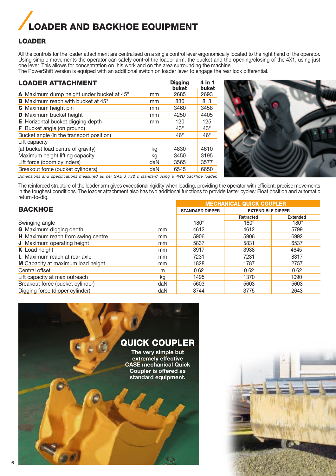# **LOADER AND BACKHOE EQUIPMENT**

# **LOADER**

All the controls for the loader attachment are centralised on a single control lever ergonomically located to the right hand of the operator. Using simple movements the operator can safely control the loader arm, the bucket and the opening/closing of the 4X1, using just one lever. This allows for concentration on his work and on the area surrounding the machine.

The PowerShift version is equiped with an additional switch on loader lever to engage the rear lock differential.

| <b>LOADER ATTACHMENT</b>                        | <b>Digging</b><br>buket | 4 in 1<br>buket |
|-------------------------------------------------|-------------------------|-----------------|
| A Maximum dump height under bucket at 45°<br>mm | 2685                    | 2693            |
| <b>B</b> Maximum reach with bucket at 45°<br>mm | 830                     | 813             |
| <b>C</b> Maximum height pin<br>mm               | 3460                    | 3458            |
| <b>D</b> Maximum bucket height<br>mm            | 4250                    | 4405            |
| <b>E</b> Horizontal bucket digging depth<br>mm  | 120                     | 125             |
| <b>F</b> Bucket angle (on ground)               | $43^\circ$              | $43^\circ$      |
| Bucket angle (in the transport position)        | $46^{\circ}$            | $46^{\circ}$    |
| Lift capacity                                   |                         |                 |
| (at bucket load centre of gravity)<br>kg        | 4830                    | 4610            |
| Maximum height lifting capacity<br>kg           | 3450                    | 3195            |
| Lift force (boom cylinders)<br>daN              | 3565                    | 3577            |
| Breakout force (bucket cylinders)<br>daN        | 6545                    | 6650            |



*Dimensions and specifications measured as per SAE J 732 c standard using a 4WD backhoe loader.*

The reinforced structure of the loader arm gives exceptional rigidity when loading, providing the operator with efficient, precise movements in the toughest conditions. The loader attachment also has two additional functions to provide faster cycles: Float position and automatic return-to-dig.

| <b>BACKHOE</b>                    |     | <b>MECHANICAL QUICK COUPLER</b> |                          |                 |  |
|-----------------------------------|-----|---------------------------------|--------------------------|-----------------|--|
|                                   |     | <b>STANDARD DIPPER</b>          | <b>EXTENDIBLE DIPPER</b> |                 |  |
|                                   |     |                                 | Retracted                | <b>Extended</b> |  |
| Swinging angle                    |     | $180^\circ$                     | $180^\circ$              | $180^\circ$     |  |
| <b>G</b> Maximum digging depth    | mm  | 4612                            | 4612                     | 5799            |  |
| H Maximum reach from swing centre | mm  | 5906                            | 5906                     | 6992            |  |
| <b>J</b> Maximum operating height | mm  | 5837                            | 5831                     | 6537            |  |
| K Load height                     | mm  | 3917                            | 3938                     | 4645            |  |
| L Maximum reach at rear axle      | mm  | 7231                            | 7231                     | 8317            |  |
| M Capacity at maximum load height | mm  | 1828                            | 1787                     | 2757            |  |
| Central offset                    | m   | 0.62                            | 0.62                     | 0.62            |  |
| Lift capacity at max outreach     | kg  | 1495                            | 1370                     | 1090            |  |
| Breakout force (bucket cylinder)  | daN | 5603                            | 5603                     | 5603            |  |
| Digging force (dipper cylinder)   | daN | 3744                            | 3775                     | 2643            |  |



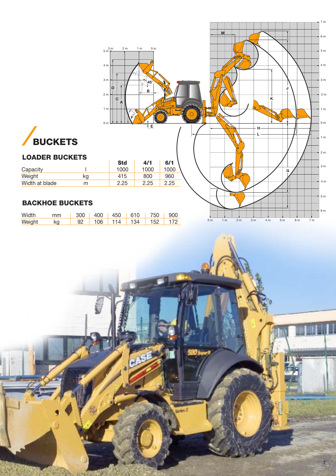

CASE



# **LOADER BUCKETS**

|                |    | эτα  | 4/1  | 0/ 1 |  |
|----------------|----|------|------|------|--|
| Capacity       |    | 1000 | 1000 | 1000 |  |
| Weight         | κg | 415  | 800  | 960  |  |
| Width at blade | m  | 2.25 | 2.25 | 2.25 |  |

# **BACKHOE BUCKETS**

| Width  | mm                                                                                                              | 300   400   450   610   750   900            |  |  |  |
|--------|-----------------------------------------------------------------------------------------------------------------|----------------------------------------------|--|--|--|
| Weight | kg the set of the set of the set of the set of the set of the set of the set of the set of the set of the set o | $\parallel$ 92   106   114   134   152   172 |  |  |  |



**7**